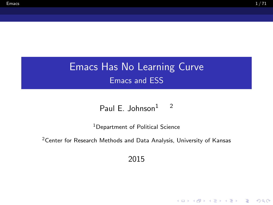K ロ ▶ K @ ▶ K 할 ▶ K 할 ▶ | 할 | © 9 Q @

# <span id="page-0-0"></span>Emacs Has No Learning Curve Emacs and ESS

#### Paul E. Johnson $1 \t 2$

<sup>1</sup>Department of Political Science

<sup>2</sup> Center for Research Methods and Data Analysis, University of Kansas

2015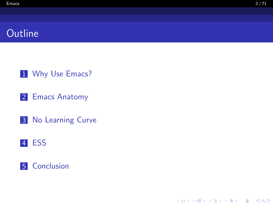## **Outline**

[Why Use Emacs?](#page-2-0)

[Emacs Anatomy](#page-7-0)

[No Learning Curve](#page-14-0)

#### [ESS](#page-46-0)



K ロ ▶ K @ ▶ K 할 ▶ K 할 ▶ | 할 | © 9 Q @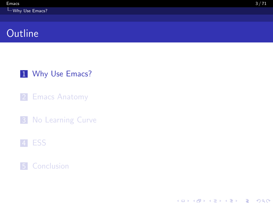<span id="page-2-0"></span>1 [Why Use Emacs?](#page-2-0)

2 [Emacs Anatomy](#page-7-0)

**3** [No Learning Curve](#page-14-0)

#### 4 [ESS](#page-46-0)





K ロ ▶ K 個 ▶ K 할 ▶ K 할 ▶ 이 할 → 9 Q Q →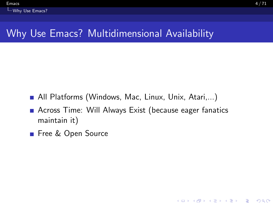# <span id="page-3-0"></span>Why Use Emacs? Multidimensional Availability

- All Platforms (Windows, Mac, Linux, Unix, Atari,...)
- **Across Time: Will Always Exist (because eager fanatics** maintain it)
- Free & Open Source

**KOD KAD KED KED DRA**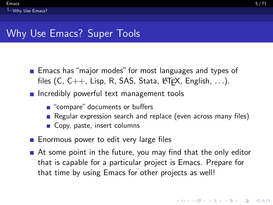- <span id="page-4-0"></span>**Emacs has "major modes" for most languages and types of Languages** files  $(C, C++, Lisp, R, SAS, Stata, \angle FFX, English, ...).$
- $\blacksquare$  Incredibly powerful text management tools
	- "compare" documents or buffers
	- Regular expression search and replace (even across many files)
	- Copy, paste, insert columns
- **Enormous power to edit very large files**
- At some point in the future, you may find that the only editor that is capable for a particular project is Emacs. Prepare for that time by using Emacs for other projects as well!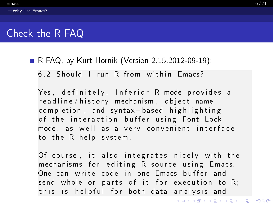<span id="page-5-0"></span>**R FAQ, by Kurt Hornik (Version 2.15.2012-09-19):** 

6.2 Should I run R from within Fmacs?

Yes, definitely. Inferior R mode provides a readline/history mechanism, object name completion, and syntax-based highlighting of the interaction buffer using Font Lock mode, as well as a very convenient interface to the R help system.

Of course, it also integrates nicely with the mechanisms for editing R source using Emacs. One can write code in one Emacs buffer and send whole or parts of it for execution to  $R$ ; this is helpful for both data analysis and

K ロ ▶ K 個 ▶ K 할 ▶ K 할 ▶ 이 할 → 9 Q Q →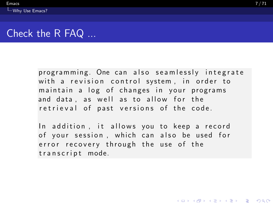<span id="page-6-0"></span>programming. One can also seamlessly integrate with a revision control system, in order to maintain a log of changes in your programs and data, as well as to allow for the retrieval of past versions of the code.

In addition, it allows you to keep a record of your session, which can also be used for error recovery through the use of the transcript mode.

**KOD KAD KED KED DRA**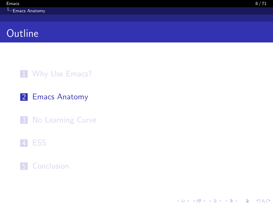#### <span id="page-7-0"></span>1 [Why Use Emacs?](#page-2-0)

#### 2 [Emacs Anatomy](#page-7-0)

**3** [No Learning Curve](#page-14-0)

#### 4 [ESS](#page-46-0)

#### **5** [Conclusion](#page-66-0)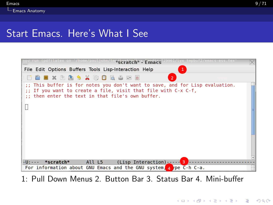<span id="page-8-0"></span>

1: Pull Down Menus 2. Button Bar 3. Status Bar 4. Mini-buffer

**KORK EXTERNE PROVIDE**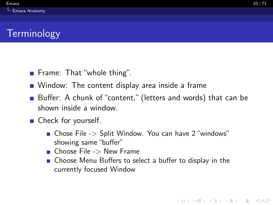- <span id="page-9-0"></span>**Frame:** That "whole thing".
- **Nindow:** The content display area inside a frame
- Buffer: A chunk of "content," (letters and words) that can be shown inside a window.
- Check for yourself.
	- Chose File -> Split Window. You can have 2 "windows" showing same "buffer"
	- $\blacksquare$  Choose File  $\gt$  New Frame
	- Choose Menu Buffers to select a buffer to display in the currently focused Window

**KORKARA REPASA DA VOCA**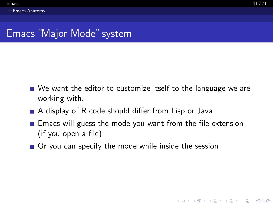- <span id="page-10-0"></span>■ We want the editor to customize itself to the language we are working with.
- A display of R code should differ from Lisp or Java
- **E** Emacs will guess the mode you want from the file extension (if you open a file)
- Or you can specify the mode while inside the session

**KORKARA REPASA DA VOCA**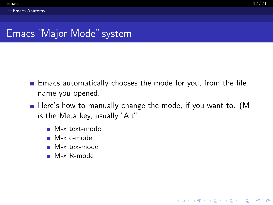**KORK EXTERNE PROVIDE** 

## <span id="page-11-0"></span>Emacs "Major Mode" system

- $\blacksquare$  Emacs automatically chooses the mode for you, from the file name you opened.
- Here's how to manually change the mode, if you want to. (M is the Meta key, usually "Alt"
	- M-x text-mode
	- M-x c-mode
	- M-x tex-mode
	- M-x R-mode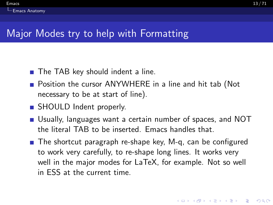# <span id="page-12-0"></span>Major Modes try to help with Formatting

- The TAB key should indent a line.
- **Position the cursor ANYWHERE in a line and hit tab (Not** necessary to be at start of line).
- SHOULD Indent properly.
- Usually, languages want a certain number of spaces, and NOT the literal TAB to be inserted. Emacs handles that.
- The shortcut paragraph re-shape key, M-q, can be configured to work very carefully, to re-shape long lines. It works very well in the major modes for LaTeX, for example. Not so well in ESS at the current time.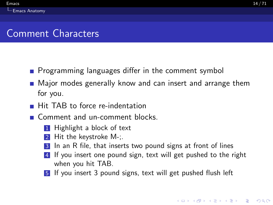## <span id="page-13-0"></span>Comment Characters

- **Programming languages differ in the comment symbol**
- **Major modes generally know and can insert and arrange them** for you.
- **Hit TAB to force re-indentation**
- Comment and un-comment blocks.
	- **1** Highlight a block of text
	- 2 Hit the keystroke  $M$ -;
	- 3 In an R file, that inserts two pound signs at front of lines
	- 4 If you insert one pound sign, text will get pushed to the right when you hit TAB.
	- 5 If you insert 3 pound signs, text will get pushed flush left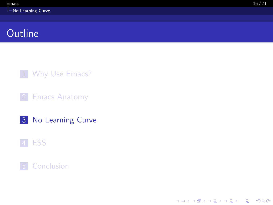<span id="page-14-0"></span>1 [Why Use Emacs?](#page-2-0)

2 [Emacs Anatomy](#page-7-0)

3 [No Learning Curve](#page-14-0)

#### 4 [ESS](#page-46-0)





K ロ ▶ K 個 ▶ K 할 ▶ K 할 ▶ 이 할 → 9 Q Q →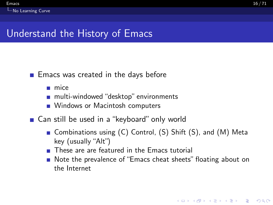# <span id="page-15-0"></span>Understand the History of Emacs

#### $\blacksquare$  Emacs was created in the days before

- $mice$
- multi-windowed "desktop" environments
- **Number** Windows or Macintosh computers
- Can still be used in a "keyboard" only world
	- Combinations using (C) Control, (S) Shift (S), and (M) Meta key (usually "Alt")
	- **These are are featured in the Emacs tutorial**
	- Note the prevalence of "Emacs cheat sheets" floating about on the Internet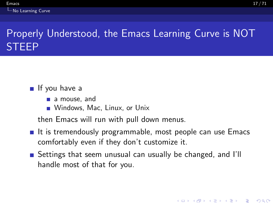# <span id="page-16-0"></span>Properly Understood, the Emacs Learning Curve is NOT STEEP

If you have a

- a mouse, and
- **Windows, Mac, Linux, or Unix**

then Emacs will run with pull down menus.

- $\blacksquare$  It is tremendously programmable, most people can use Emacs comfortably even if they don't customize it.
- **E** Settings that seem unusual can usually be changed, and I'll handle most of that for you.

**KORKARYKERKER POLO**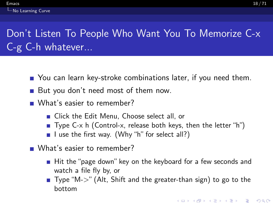# <span id="page-17-0"></span>Don't Listen To People Who Want You To Memorize C-x C-g C-h whatever...

- You can learn key-stroke combinations later, if you need them.
- But you don't need most of them now.
- What's easier to remember?
	- **Example 21 Click the Edit Menu. Choose select all, or**
	- **Type C-x h (Control-x, release both keys, then the letter "h")**
	- I use the first way. (Why "h" for select all?)
- **Nhat's easier to remember?** 
	- $\blacksquare$  Hit the "page down" key on the keyboard for a few seconds and watch a file fly by, or
	- $\blacksquare$  Type "M- $>$ " (Alt, Shift and the greater-than sign) to go to the bottom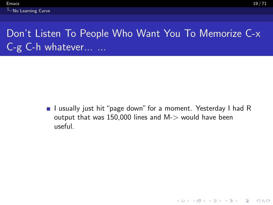# <span id="page-18-0"></span>Don't Listen To People Who Want You To Memorize C-x C-g C-h whatever... ...

I usually just hit "page down" for a moment. Yesterday I had R output that was  $150,000$  lines and M- $>$  would have been useful.

**KOD KAD KED KED DRA**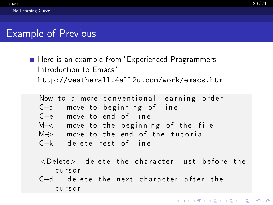## <span id="page-19-0"></span>Example of Previous

■ Here is an example from "Experienced Programmers Introduction to Emacs" <http://weatherall.4all2u.com/work/emacs.htm>

|  | Now to a more conventional learning order        |
|--|--------------------------------------------------|
|  | C-a move to beginning of line                    |
|  | $C-e$ move to end of line                        |
|  | $M\rightarrow$ move to the beginning of the file |
|  | $M \rightarrow$ move to the end of the tutorial. |
|  | C-k delete rest of line                          |

- $\langle$ Delete $>$  delete the character just before the c u r s o r
- $C-d$  delete the next character after the c u r s o r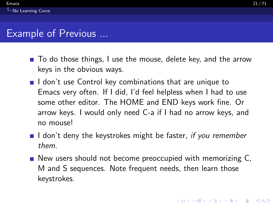## <span id="page-20-0"></span>Example of Previous ...

- To do those things, I use the mouse, delete key, and the arrow keys in the obvious ways.
- $\blacksquare$  I don't use Control key combinations that are unique to Emacs very often. If I did, I'd feel helpless when I had to use some other editor. The HOME and END keys work fine. Or arrow keys. I would only need C-a if I had no arrow keys, and no mouse!
- I don't deny the keystrokes might be faster, if you remember them.
- New users should not become preoccupied with memorizing C, M and S sequences. Note frequent needs, then learn those keystrokes.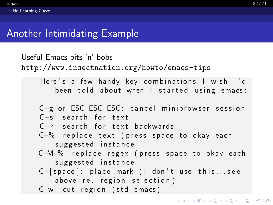# <span id="page-21-0"></span>Another Intimidating Example

```
Useful Emacs bits 'n' bobs
http://www.insectnation.org/howto/emacs-tips
    Here's a few handy key combinations I wish I'd
       been told about when I started using emacs:
    C−g or ESC ESC ESC: cancel minibrowser session
    C−s: search for text
    C−r: search for text backwards
    C−%: replace text (press space to okay each
       suggested instance
   C−M−%: replace regex (press space to okay each
       suggested instance
    C–[space]: place mark (I don't use this...see
       above re. region selection)
   C-w: cut region (std emacs)
```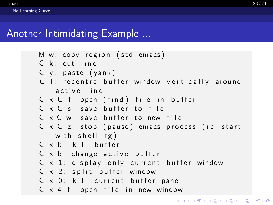# <span id="page-22-0"></span>Another Intimidating Example ...

M—w: copy region (std emacs) C−k: cut line  $C-y$ : paste (yank) C-l: recentre buffer window vertically around active line C−x C−f: open (find) file in buffer C-x C-s: save buffer to file C-x C-w: save buffer to new file C-x C-z: stop (pause) emacs process (re-start with shell  $fg$ ) C-x k · kill buffer C-x b: change active buffer C-x 1: display only current buffer window C-x 2: split buffer window C-x 0: kill current buffer pane  $C-x$  4 f: open file in new window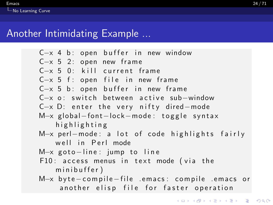# <span id="page-23-0"></span>Another Intimidating Example ...

| $C-x$ 4 b: open buffer in new window            |  |
|-------------------------------------------------|--|
| $C-x$ 5 2: open new frame                       |  |
| C-x 5 0: kill current frame                     |  |
| $C-x$ 5 f: open file in new frame               |  |
| $C-x$ 5 b: open buffer in new frame             |  |
| $C-x$ o: switch between active sub-window       |  |
| $C-x$ D: enter the very nifty dired-mode        |  |
| $M-x$ global-font-lock-mode: toggle syntax      |  |
| highlighting                                    |  |
| M-x perl-mode: a lot of code highlights fairly  |  |
| well in Perl mode                               |  |
| $M-x$ goto-line: jump to line                   |  |
| F10: access menus in text mode (via the         |  |
| minibuffer)                                     |  |
| M-x byte-compile-file .emacs: compile .emacs or |  |
| another elisp file for faster operation         |  |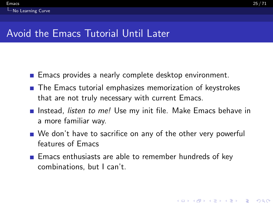**KORKARYKERKER POLO** 

### <span id="page-24-0"></span>Avoid the Emacs Tutorial Until Later

- **Emacs provides a nearly complete desktop environment.**
- The Emacs tutorial emphasizes memorization of keystrokes that are not truly necessary with current Emacs.
- Instead, listen to me! Use my init file. Make Emacs behave in a more familiar way.
- We don't have to sacrifice on any of the other very powerful features of Emacs
- **Emacs enthusiasts are able to remember hundreds of key** combinations, but I can't.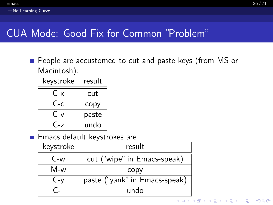<span id="page-25-0"></span>**People are accustomed to cut and paste keys (from MS or** Macintosh):

| keystroke | result |
|-----------|--------|
| C-x       | cut    |
| C-c       | copy   |
| $C-v$     | paste  |
| (`-7      | undo   |

**Emacs default keystrokes are** 

| keystroke | result                        |                                       |  |
|-----------|-------------------------------|---------------------------------------|--|
| $C-w$     | cut ("wipe" in Emacs-speak)   |                                       |  |
| M-w       | CODV                          |                                       |  |
| $C - y$   | paste ("yank" in Emacs-speak) |                                       |  |
|           | undo                          |                                       |  |
|           |                               | K □ ▶ K @ ▶ K 로 ▶ K 로 ▶ _ 로 _ K 9 Q @ |  |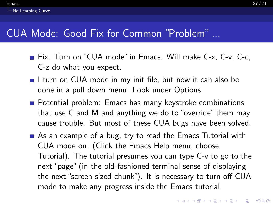#### <span id="page-26-0"></span> $\epsilon$  [Emacs](#page-0-0) 27 / 71 **L**[No Learning Curve](#page-26-0)

# CUA Mode: Good Fix for Common "Problem" ...

- Fix. Turn on "CUA mode" in Emacs. Will make C-x, C-v, C-c, C-z do what you expect.
- I turn on CUA mode in my init file, but now it can also be done in a pull down menu. Look under Options.
- **Potential problem: Emacs has many keystroke combinations** that use C and M and anything we do to "override" them may cause trouble. But most of these CUA bugs have been solved.
- As an example of a bug, try to read the Emacs Tutorial with CUA mode on. (Click the Emacs Help menu, choose Tutorial). The tutorial presumes you can type C-v to go to the next "page" (in the old-fashioned terminal sense of displaying the next "screen sized chunk"). It is necessary to turn off CUA mode to make any progress inside the Emacs tutorial.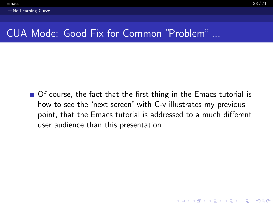<span id="page-27-0"></span>■ Of course, the fact that the first thing in the Emacs tutorial is how to see the "next screen" with C-v illustrates my previous point, that the Emacs tutorial is addressed to a much different user audience than this presentation.

**KOD KAD KED KED DRA**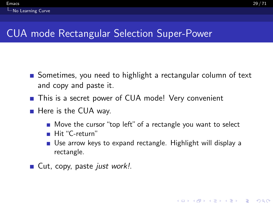# <span id="page-28-0"></span>CUA mode Rectangular Selection Super-Power

- Sometimes, you need to highlight a rectangular column of text and copy and paste it.
- This is a secret power of CUA mode! Very convenient
- $\blacksquare$  Here is the CUA way.
	- Move the cursor "top left" of a rectangle you want to select
	- Hit "C-return"
	- Use arrow keys to expand rectangle. Highlight will display a rectangle.
- $\blacksquare$  Cut, copy, paste just work!.

**KORKARYKERKER POLO**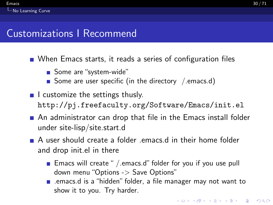<span id="page-29-0"></span>■ When Emacs starts, it reads a series of configuration files

- Some are "system-wide"
- Some are user specific (in the directory  $/$  emacs.d)
- $\blacksquare$  I customize the settings thusly. <http://pj.freefaculty.org/Software/Emacs/init.el>
- An administrator can drop that file in the Emacs install folder under site-lisp/site.start.d
- A user should create a folder .emacs.d in their home folder and drop init.el in there
	- **Emacs will create "** / emacs.d" folder for you if you use pull down menu "Options -> Save Options"
	- .emacs.d is a "hidden" folder, a file manager may not want to show it to you. Try harder.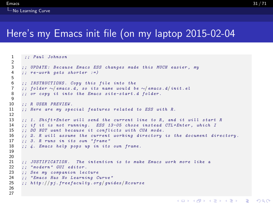#### <span id="page-30-0"></span>Here's my Emacs init file (on my laptop 2015-02-04

```
1 ;; Paul Johnson
 \frac{2}{3}3 ;; UPDATE: Because Emacs ESS changes made this MUCH easier, my<br>4 :: re-work gets shorter :=)
       \therefore re-work gets shorter :=)
 5
6 ;; INSTRUCTIONS. Copy this file into the 7 :: folder \sim/emacs.d. so its name would b
7 ;; folder ∼/ emacs.d, so its name would be ∼/ emacs.d/init.el<br>8 ;; or copy it into the Emacs site-start.d folder.
       :: or copy it into the Emacs site-start.d folder.
\begin{array}{c} 9 \\ 10 \end{array}10 ;; R USER PREVIEW.<br>11 :: Here are mu spe
       :: Here are my special features related to ESS with R.
12
13 ;; 1. Shift+Enter will send the current line to R, and it will start R<br>14 :: if it is not running. ESS 13-05 chose instead CTL+Enter, which I
14 ;; if it is not running. ESS 13-05 chose instead CTL+Enter, which I<br>15 :: DO NOT want because it conflicts with CUA mode.
       ;; DO NOT want because it conflicts with CUA mode.
16 ;; 2. R will assume the current working directory is the document directory.<br>17 \cdots 3. R runs in its own "frame"
17 ;; 3. R runs in its own "frame"<br>18 :: \Delta. Emacs help pops up in its
       : 4. Emacs help pops up in its own frame.
19
\frac{20}{21}21 ;; JUSTIFICATION. The intention is to make Emacs work more like a 22 :: "modern" GUI editor.
22 ;; "modern" GUI editor.<br>23 ;; See my companion lec
23 ;; See my companion lecture<br>24 :: "Emacs Has No Learning C
24 ;; "Emacs Has No Learning Curve"<br>25 :: http://pj.freefaculty.org/qui
       25 ;; http ://pj . freefaculty . org / guides / Rcourse
26
27
```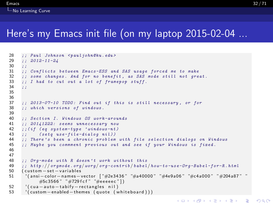#### <span id="page-31-0"></span>Here's my Emacs init file (on my laptop 2015-02-04 ...

```
28 ;; Paul Johnson < pauljohn@ku.edu><br>29 :: 2012-11-24
29 ;; 2012-11-24<br>30 ::
30 ;;<br>31 ::
31 ;; Conflicts between Emacs-ESS and SAS usage forced me to make<br>32 :: some changes. And for no benefit, as SAS mode still not gre
32 ;; some changes. And for no benefit, as SAS mode still not great.<br>33 :: I had to cut out a lot of framevov stuff.
       \therefore; I had to cut out a lot of framepop stuff.<br>::
3435
36<br>37
37 ;; 2013-07-10 TODO: Find out if this is still necessary, or for<br>38 :; which versions of windows.
       ;; which versions of windows.
39
40 ;; Section I. Windows OS work-arounds<br>41 :: 20141222: seems unnecessary now
41 ;; 20141222: seems unnecessary now<br>42 :: (if (ea sustem-tupe 'windows-nt)
42 ;;(if (eq system-type 'windows-nt)<br>43 :: (seta use-file-dialog nil))
43 ;; (setq use-file-dialog nil))<br>44 :: There's been a chronic problem
44 ;; There 's been a chronic problem with file selection dialogs on Windows<br>45 ;; Maybe you commment previous out and see if your Windows is fixed.
       ;; Maybe you commment previous out and see if your Windows is fixed.
46
47
48 ;; Org-mode with R doesn 't work without this
49 ;; http://orgmode.org/worg/org-contrib/babel/how-to-use-Org-Babel-for-R.html<br>50 (custom-set-variables
       50 ( c u s t om−s e t−v a ri a bl e s
51 ' ( ansi−colo r−names−vec to r [ "#2e3436 " "#a40000 " "#4e9a06 " "#c4 a000 " "#204a87 " "
                #5c3566 " "#729 f c f " "#e e e e e c " ] )
52 ' (cua - auto - tabify - rectangles nil)<br>53 ' (custom - enabled - themes (quote (w
         '( custom - enabled - themes ( quote ( whiteboard ) ) )
```
**KORK ERKER ADAM ADA**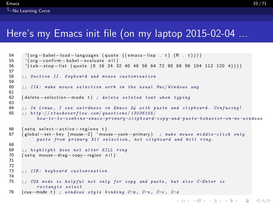#### <span id="page-32-0"></span> $\epsilon$  [Emacs](#page-0-0)  $33/71$ **L**[No Learning Curve](#page-32-0)

## Here's my Emacs init file (on my laptop 2015-02-04 ...

```
54 ' ( org-babel-load-languages ( quote ( ( emacs-lisp . t ) (R . t ) ) ) ) ) 55 ' ( org-confirm - babel - evaluate nil )
55 ' (org-confirm-babel-evaluate nil)<br>56 ' (tab-stop-list (quote (8 16 24 3
       ( tab -stop - list ( quote ( 8 16 24 32 40 48 56 64 72 80 88 96 104 112 120 4) ) )
57
      :: Section II. Keyboard and mouse customization
59
      \therefore IIA: make mouse selection work in the usual Mac/Windows way
61<br>62
      ( delete – selection – mode t) ; delete seleted text when typing
63
64 ;; In Linux, I see weirdness in Emacs 24 with paste and clipboard. Confusing!<br>65 : http://stackovertlow.com/questions/13036155/
      \therefore http://stackoverflow.com/questions/13036155/
             h \, o \, w - t \, o - c \, o \, m \, b in e - e \, m \, a \, c \, s - p \, r in m \, v - c l i p b o and - p and - p as t \, e - b \, e h a v i o r - o n - m s - w i n d o w s
66 (seta select – active – regions t)
67 ( gl ob al−se t−key [ mouse−2 ] ' mouse−yank−primary ) ; make mouse middle-click only
             paste from primary X11 selection , not clipboard and kill ring .
68
69 ;; highlight does not alter KILL ring<br>70 (seta mouse-drag-copy-region nil)
      70 ( s e t q mouse−drag−copy−region n i l )
71
72
      :: IIB: keyboard customization
74
      75 ;; CUA mode is helpful not only for copy and paste , but also C-Enter is
             rectangle select
76 (cua-mode t) ; windows style binding C-x, C-v, C-c, C-z
```
**KORK ERKER ADAM ADA**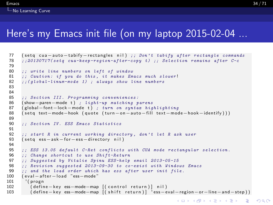#### <span id="page-33-0"></span>Here's my Emacs init file (on my laptop 2015-02-04 ...

```
77 ( setq cua−auto−tabify−rectangles nil) ;; Don't tabify after rectangle commands<br>78 ::20130717(setg cua-keep-region-after-coput) :: Selection remains after C-c
       j; 20130717(setq cua-keep-reqion-after-copy t) ;; Selection remains after C-c79
 80 ;; write line numbers on left of window<br>81 :: Caution: if you do this, it makes Em
 81 ;; Caution: if you do this, it makes Emacs much slower!<br>82 :: (global-linum-mode 1) : always show line numbers
       \cdot:(alobal-linum-mode 1) : always show line numbers
 83
 84
 85 ;; Section III. Programming conveniences:<br>86 (show-paren-mode t) : Light-un matching n
       86 ( show−paren−mode t ) ; light-up matching parens
 87 (global−font−lock−mode t) ; turn on syntax highlighting<br>88 (seta text-mode-hook (guote (turn-on-auto-fill text-mod
       ( setq text-mode-hook ( quote ( turn-on-auto-fill text-mode-hook-identify ) ) )
 89
       90 ;; Section IV. ESS Emacs Statistics
 91
 92 ;; start R in current working directory, don't let R ask user<br>93 (seta ess-ask-for-ess-directory nil)
       ( set q ess -ask -for -ess -directory nil)
 94<br>95
 95 ;; ESS 13.05 default C-Ret conflicts with CUA mode rectangular selection.<br>96 :: Change shortcut to use Shift-Return
       96 ;; Change shortcut to use Shift-Return
 97 ;; Suggested by Vitalie Spinu ESS-help email 2013-05-15
 98 ;; Revision suggested 2013-09-30 to co-exist with Windows Emacs<br>99 :: and the load order which has ess after user init file.
       : and the load order which has ess after user init file.
100 ( eval - after - load "ess-mode"
101 (progn)
102 ( define - key ess - mode - map [ ( control return ) l n i l )
103 (define−key ess−mode−map [(shift return)] <sup>1</sup>ess−eval−region−or−line−and−step))
```
K ロ ▶ K 個 ▶ K 할 ▶ K 할 ▶ 이 할 → 9 Q Q →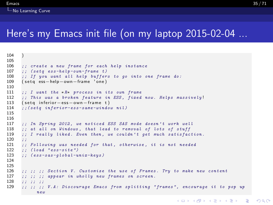#### <span id="page-34-0"></span>Here's my Emacs init file (on my laptop 2015-02-04 ...

```
104 )
\frac{105}{106}106 ;; create a new frame for each help instance<br>107 :: (seta ess-help-own-frame t)
107 ;; (setq e ess-help-own-frame t)<br>108 \cdots If you want all help buffer
108 ;; If you want all help buffers to go into one frame do:<br>109 (seta ess-help-own-frame 'one)
        ( set q ess−help−own−frame 'one)
110
111 ;; I want the *R* process in its own frame<br>112 :: This was a broken feature in ESS, fixed
112 ;; This was a broken feature in ESS, fixed now. Helps massively!<br>113 (seta inferior-ess-own-frame t)
        ( set q in ferior – ess – own – frame t)
114 ; (setq inferior-ess-same-window nil)
115
116<br>117
117 ;; In Spring 2012, we noticed ESS SAS mode doesn't work well<br>118 :: at all on Windows, that lead to removal of lots of stuff
118 ;; at all on Windows, that lead to removal of lots of stuff<br>119 :: I really liked. Even then, we couldn't get much satisfac
        j; I really liked. Even then, we couldn't get much satisfaction.
\begin{array}{c} 120 \\ 121 \end{array}121 ;; Following was needed for that, otherwise, it is not needed 122 :: (load "ess-site")
122 ;; (load "ess-site")<br>123 :: (ess-sas-alobal-u
        \therefore ( ess - s a s - g l o b a l - un i x - k e u s )
124
125
126 ;; ;; ;; Section V. Customize the use of Frames. Try to make new content
127 ;; ;; ;; appear in wholly new frames on screen.
\frac{128}{129} ;; ;; ;; ;;<br>129 :: :: ::
        j; j; j; V.A: Discourange Emacs from splitting "frames", encourage it to pop up
                new
```
**KORK ERKER ADAM ADA**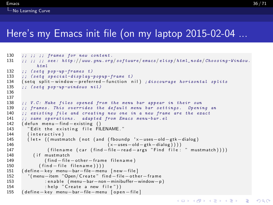#### <span id="page-35-0"></span> $\epsilon$  [Emacs](#page-0-0)  $36/71$  $\overline{\phantom{a}}$  [No Learning Curve](#page-35-0)

### Here's my Emacs init file (on my laptop 2015-02-04 ...

```
130 ;; ;; ;; frames for new content.<br>131 :: :: :: see: http://www.anu.ora
       j; ;; ;; see: http://www.qnu.org/software/emacs/elisp/html_node/Choosing-Window.
              h, t, m, l132 ;; (setq pop-up-frames t)<br>133 :: (seta special-display-
133 ;; ( setq s pecial-display-popup-frame t)<br>134 ( seta split – window – preferred – function n
134 ( setq split-window-preferred-function nil) ; discourage horizontal splits<br>135 :: (seta non-un-windows nil)
       \ldots (seta pop-up-windows nil)
136
137<br>138
       i: V.C: Make files opened from the menu bar appear in their own139 ;; frames. This overrides the default menu bar settings. Opening an 140 \cdots existing file and creating new one in a new frame are the exact
140 ;; existing file and creating new one in a new frame are the exact<br>141 :: same operations, adapted from Emacs menu-bar.el
141 ;; same operations. adapted from Emacs menu-bar.el<br>142 (defun menu-find-existing ()
142 ( defun menu - find - existing ()<br>143 Tedit the existing file FII
          "Edit the existing file FILENAME."
144 (interactive)<br>145 (let » ((mustm
          1 + 1 + 1 + 1 ( must match (not ( and (fboundp ' x−uses -old - gtk -dialog)
146 ( x−uses−old−gtk−dialog ) ) ) )
147 ( filename ( car ( find − file - read - args " Find file : " mustmatch ) ) ) ) 148 ( if mustmatch ) ) ) )
            14 f mustmatch
149 (find − file − other – frame filename)
150 ( find – file filename) ) )
151 ( define - key menu-bar-file-menu [new-file]<br>152 ( menu-item "Open/Create" find-file-othe
          ' ( menu-item "Open/ C reate" find-file-other-frame
153 : e n a b l e ( menu−bar−non−minibuffer−window−p )
154 : help "Create a new file")
155 ( define - key menu - bar - file - menu [ o p en - file ]
```
 $\equiv$   $\Omega Q$ 

 $\left\{ \begin{array}{ccc} 1 & 0 & 0 \\ 0 & 0 & 0 \\ 0 & 0 & 0 \\ 0 & 0 & 0 \\ 0 & 0 & 0 \\ 0 & 0 & 0 \\ 0 & 0 & 0 \\ 0 & 0 & 0 \\ 0 & 0 & 0 \\ 0 & 0 & 0 \\ 0 & 0 & 0 \\ 0 & 0 & 0 \\ 0 & 0 & 0 \\ 0 & 0 & 0 & 0 \\ 0 & 0 & 0 & 0 \\ 0 & 0 & 0 & 0 \\ 0 & 0 & 0 & 0 & 0 \\ 0 & 0 & 0 & 0 & 0 \\ 0 & 0 & 0 & 0 & 0 \\ 0 & 0 & 0 & 0$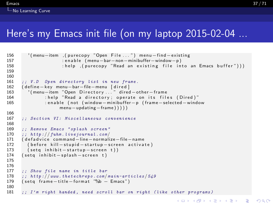### <span id="page-36-0"></span>Here's my Emacs init file (on my laptop 2015-02-04 ...

```
156 ' ( menu−item , ( p u r e c o p y "Open F i l e . . . ") me n u−fi n d−exi s ti n g
157 : en able (menu−bar−non−minibuffer−window−p)<br>158 : help (purecony "Read an existing file in:
                            : help , ( purecopy "Read an existing file into an Emacs buffer"))
159
160<br>161
161 ;; V.D Open directory list in new frame.<br>162 (define-key menu-bar-file-menu [dired]
       162 ( d e fi n e−k ey menu−bar−file−menu [ d i r e d ]
163 ' (menu−item "Open Directory..." dired-other-frame<br>164 the r "Read a directory operate on its file
164 : help "Read a directory; operate on its files (Dired)"<br>165 : enable (not (window—minibuffer—p (frame—selected—wind
                   : enable (not (window−minibuffer-p (frame-selected-window
                           menu−updating−frame ) ) ) ) )
166<br>167
       :: Section VI: Miscellaneous convenience
168
169 ;; Remove Emacs " splash screen"<br>170 :: http://fuhm.livejournal.com/
170 ;; http://fuhm.livejournal.com/<br>171 (defadvice command-line-normali
171 ( de fa dvice command−line−normalize−file−name<br>172 ( before kill - stupid - startup - screen, activa
172 ( before kill — stupid — startup — screen activate)<br>173 (set a inhibit — startup — screen t))
173 (setq in hibit−startup−screen t))<br>174 (setg in hibit−splash−screen t)
       (seta in hibit -s plash -screen t)
175
176
177 ;; Show file name in title bar
178 ;; http://www.thetechrepo.com/main-articles/549
179 (seta frame−title−format "%b – Emacs")
180
181 ;; I'm right handed, need scroll bar on right (like other programs)
```
 $\equiv$   $\Omega Q$ 

 $(1, 1)$   $(1, 1)$   $(1, 1)$   $(1, 1)$   $(1, 1)$   $(1, 1)$   $(1, 1)$   $(1, 1)$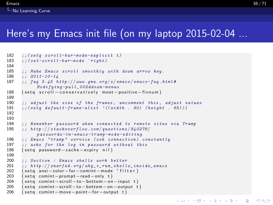### <span id="page-37-0"></span>Here's my Emacs init file (on my laptop 2015-02-04 ...

```
182 ;;(setq scroll-bar-mode-explicit t)<br>183 ::(set-scroll-bar-mode 'right)
       : c:( set - scroll - bar - mode \in 'right)184<br>185
185 ;; Make Emacs scroll smoothly with down arrow key.<br>186 :: 2011-10-14
186 ;; 2011-10-14<br>187 :: fag 5.45 h
       : faq 5.45 http://www.gnu.org/s/ emacs/ emacs-faq.html#
             Modifying \neg all 002ddown \neg mans
188 (setg scroll − conservatively most-positive−fixnum)
189<br>190
       i; adjust the size of the frames, uncomment this, adjust values
191 ;;(setq default-frame-alist ((width . 90) (height . 65)))192
193<br>194
194 ;; Remember password when connected to remote sites via Tramp<br>195 :: http://stackoverflow.com/guestions/840279/
       \ldots http://stackoverflow.com/questions/840279/
             pass words-in-emacs-tramp-mode-editing196 ;; Emacs "tramp" service (ssh connection) constantly
197 ;; asks for the log in password without this<br>198 (seta password-cache-expiry nil)
       ( set q password - cache - expiry nil )
199
       ;; Section : Emacs shells work better
201 ;; http://snarfed.org/why_ i_r un_shello_ inside_emacs<br>202 (seta ansi-color-for-comint-mode 'filter)
202 (setq ansi-color-for-comint-mode 'filter)<br>203 (setq comint-prompt-read-only t)
       (setq comint-prompt-read-only t)
204 ( set q comint - scroll - to - bottom - on - input t)
205 (seta comint−scroll−to−bottom−on−output t)
206 (seta comint−move−point−for−output t)
```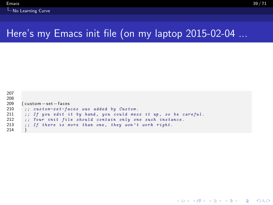```
207
208
209 (custom − set – faces<br>210 :: custom-set-fa
210 ;; custom-set-faces was added by Custom.<br>211 ;; If you edit it by hand, you could mes
211 \therefore if you edit it by hand, you could mess it up, so be careful.<br>212 \therefore Your init file should contain only one such instance.
212 \therefore Your init file should contain only one such instance.<br>213 \therefore If there is more than one, they won't work right.
            \therefore If there is more than one, they won't work right.
214 )
```
**KORK ERKER ADAM ADA**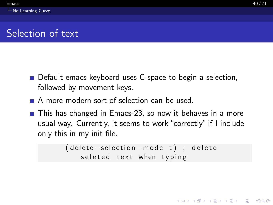**KORKARYKERKER POLO** 

# <span id="page-39-0"></span>Selection of text

- Default emacs keyboard uses C-space to begin a selection, followed by movement keys.
- A more modern sort of selection can be used.
- This has changed in Emacs-23, so now it behaves in a more usual way. Currently, it seems to work "correctly" if I include only this in my init file.

```
( delete - selection - mode t) ; delete
   seleted text when typing
```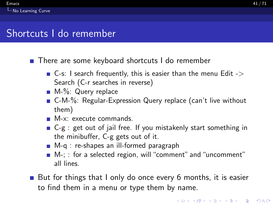### <span id="page-40-0"></span>Shortcuts I do remember

■ There are some keyboard shortcuts I do remember

- $\blacksquare$  C-s: I search frequently, this is easier than the menu Edit -> Search (C-r searches in reverse)
- M-%: Query replace
- C-M-%: Regular-Expression Query replace (can't live without them)
- **M-x:** execute commands.
- C-g : get out of jail free. If you mistakenly start something in the minibuffer, C-g gets out of it.
- M-q : re-shapes an ill-formed paragraph
- M-; : for a selected region, will "comment" and "uncomment" all lines.
- But for things that I only do once every 6 months, it is easier to find them in a menu or type them by name.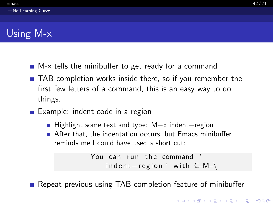- <span id="page-41-0"></span>■ M-x tells the minibuffer to get ready for a command
- TAB completion works inside there, so if you remember the first few letters of a command, this is an easy way to do things.
- Example: indent code in a region
	- Highlight some text and type: M-x indent–region
	- After that, the indentation occurs, but Emacs minibuffer reminds me I could have used a short cut:

You can run the command  $indent - region ' with C-M-$ 

Repeat previous using TAB completion feature of minibuffer

**KORKARYKERKER POLO**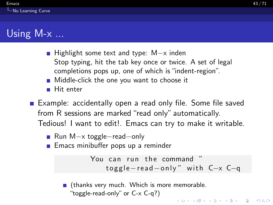# <span id="page-42-0"></span>Using  $M-x$  ...

- Highlight some text and type: M-x inden Stop typing, hit the tab key once or twice. A set of legal completions pops up, one of which is "indent-region".
- **Middle-click the one you want to choose it**
- Hit enter  $\mathcal{L}_{\mathcal{A}}$
- **Example: accidentally open a read only file. Some file saved** from R sessions are marked "read only" automatically. Tedious! I want to edit!. Emacs can try to make it writable.
	- Run M-x toggle–read–only
	- **Emacs minibuffer pops up a reminder**

You can run the command toggle-read-only" with C-x C-q

■ (thanks very much. Which is more memorable. "toggle-read-only" or C-x C-q?)**KOD KAD KED KED DRA**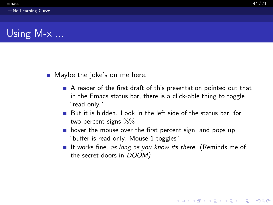- <span id="page-43-0"></span>■ Maybe the joke's on me here.
	- A reader of the first draft of this presentation pointed out that in the Emacs status bar, there is a click-able thing to toggle "read only."
	- $\blacksquare$  But it is hidden. Look in the left side of the status bar, for two percent signs %%
	- $\blacksquare$  hover the mouse over the first percent sign, and pops up "buffer is read-only. Mouse-1 toggles"
	- If It works fine, as long as you know its there. (Reminds me of the secret doors in DOOM)

**KORKARYKERKER POLO**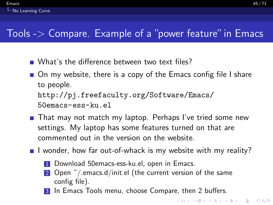# <span id="page-44-0"></span>Tools  $\geq$  Compare. Example of a "power feature" in Emacs

- What's the difference between two text files?
- On my website, there is a copy of the Emacs config file I share to people. [http://pj.freefaculty.org/Software/Emacs/](http://pj.freefaculty.org/Software/Emacs/50emacs-ess-ku.el) [50emacs-ess-ku.el](http://pj.freefaculty.org/Software/Emacs/50emacs-ess-ku.el)
- That may not match my laptop. Perhaps I've tried some new settings. My laptop has some features turned on that are commented out in the version on the website.
- I wonder, how far out-of-whack is my website with my reality?
	- 1 Download 50emacs-ess-ku.el, open in Emacs.
	- 2 Open  $\tilde{ }$  / emacs.d/init.el (the current version of the same config file).
	- In Emacs Tools menu, choose Compare, then 2 buffers.

**KOD CONTRACT A BOAR KOD**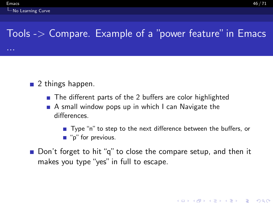...

# <span id="page-45-0"></span>Tools -> Compare. Example of a "power feature" in Emacs

- $\blacksquare$  2 things happen.
	- The different parts of the 2 buffers are color highlighted
	- A small window pops up in which I can Navigate the differences.
		- Type "n" to step to the next difference between the buffers, or ■ "p" for previous.
- Don't forget to hit "q" to close the compare setup, and then it makes you type "yes" in full to escape.

KID K 4 D X R B X R B X D A Q A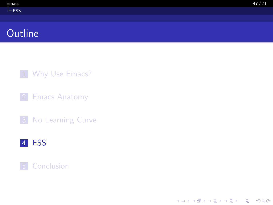# <span id="page-46-0"></span>**Outline**

1 [Why Use Emacs?](#page-2-0)

2 [Emacs Anatomy](#page-7-0)

**3** [No Learning Curve](#page-14-0)





K ロ ▶ K 個 ▶ K 할 ▶ K 할 ▶ 이 할 → 9 Q Q →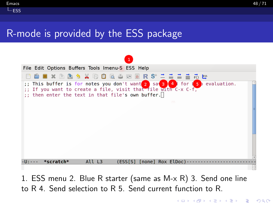# <span id="page-47-0"></span>R-mode is provided by the ESS package



to R 4. Send selection to R 5. Send current function to R.

**K ロ ▶ K 何 ▶ K ヨ ▶ K ヨ ▶** ÷.  $200$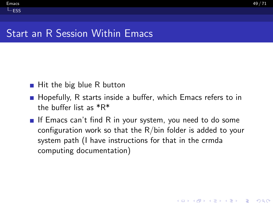### Start an R Session Within Emacs

<span id="page-48-0"></span> $L_{ESS}$  $L_{ESS}$  $L_{ESS}$ 

- $\blacksquare$  Hit the big blue R button
- **H** Hopefully, R starts inside a buffer, which Emacs refers to in the buffer list as \*R\*
- If Emacs can't find R in your system, you need to do some configuration work so that the R/bin folder is added to your system path (I have instructions for that in the crmda computing documentation)

**KORKARYKERKER POLO**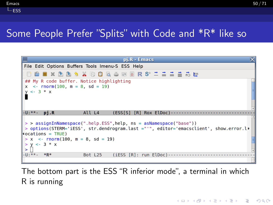# <span id="page-49-0"></span>Some People Prefer "Splits" with Code and \*R\* like so



The bottom part is the ESS "R inferior mode", a terminal in which R is running

**KOD KAR KED KED E YOUN**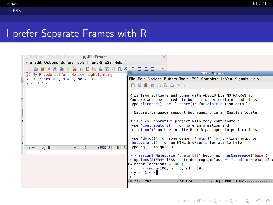## <span id="page-50-0"></span>I prefer Separate Frames with R

| Toolbox - Tool Options pj.R - Emacs                                  |                                                                                                                                                                                                                                                                                                                                                                                                                                                                                                                                                       |
|----------------------------------------------------------------------|-------------------------------------------------------------------------------------------------------------------------------------------------------------------------------------------------------------------------------------------------------------------------------------------------------------------------------------------------------------------------------------------------------------------------------------------------------------------------------------------------------------------------------------------------------|
| File Edit Options Buffers Tools Imenu-S ESS Help                     |                                                                                                                                                                                                                                                                                                                                                                                                                                                                                                                                                       |
| X 0 0 4 5 0 6 R S + 1 1 1 1 +<br>$\Box$ $\times$ $\rightarrow$<br>医鱼 |                                                                                                                                                                                                                                                                                                                                                                                                                                                                                                                                                       |
| ## My R code buffer. Notice highlighting                             | $*R*$ - Emacs                                                                                                                                                                                                                                                                                                                                                                                                                                                                                                                                         |
| $x \le$ - rnorm(100, m = 8, sd = 19)                                 | File Edit Options Buffers Tools iESS Complete In/Out Signals Help                                                                                                                                                                                                                                                                                                                                                                                                                                                                                     |
| $v \le -3 * x$                                                       | <b>DA BIX 的最高困扰</b>                                                                                                                                                                                                                                                                                                                                                                                                                                                                                                                                   |
|                                                                      | R is free software and comes with ABSOLUTELY NO WARRANTY.<br>You are welcome to redistribute it under certain conditions.<br>Type 'license()' or 'licence()' for distribution details.<br>Natural language support but running in an English locale<br>R is a collaborative project with many contributors.<br>Type 'contributors()' for more information and<br>'citation()' on how to cite R or R packages in publications.<br>Type 'demo()' for some demos, 'help()' for on-line help, or<br>'help.start()' for an HTML browser interface to help. |
| $-U:***$<br>All L1<br>$pi$ .R                                        | (ESS[S] [R] Rd] Type 'q()' to quit R.                                                                                                                                                                                                                                                                                                                                                                                                                                                                                                                 |
|                                                                      | > > assignInNamespace(".help.ESS",help, ns = asNamespace("base"))<br>> options(STERM= iESS', str.dendrogram.last ="'", editor='emacsclie<br>$w_error$ . locations = TRUE)<br>$> x <$ - rnorm(100. m = 8. sd = 19)<br>$> y < -3 * x$<br>$\geq$<br>$-11.***$ *R*<br>Bot L24<br>$(IESS [R]: run E(Doc).$                                                                                                                                                                                                                                                 |

**Kロトメ部トメミトメミト ミニのRC**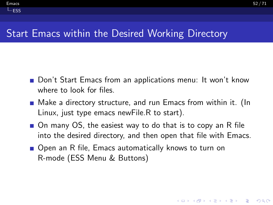## Start Emacs within the Desired Working Directory

<span id="page-51-0"></span> $L_{ESS}$  $L_{ESS}$  $L_{ESS}$ 

- Don't Start Emacs from an applications menu: It won't know where to look for files.
- Make a directory structure, and run Emacs from within it. (In Linux, just type emacs newFile.R to start).
- On many OS, the easiest way to do that is to copy an R file into the desired directory, and then open that file with Emacs.
- Open an R file, Emacs automatically knows to turn on R-mode (ESS Menu & Buttons)

**KORKARYKERKER POLO**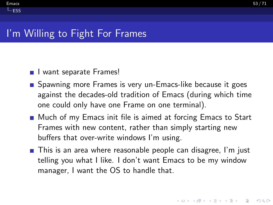#### <span id="page-52-0"></span> $L_{ESS}$  $L_{ESS}$  $L_{ESS}$

# I'm Willing to Fight For Frames

- I want separate Frames!
- **Spawning more Frames is very un-Emacs-like because it goes** against the decades-old tradition of Emacs (during which time one could only have one Frame on one terminal).
- Much of my Emacs init file is aimed at forcing Emacs to Start Frames with new content, rather than simply starting new buffers that over-write windows I'm using.
- **This is an area where reasonable people can disagree, I'm just** telling you what I like. I don't want Emacs to be my window manager, I want the OS to handle that.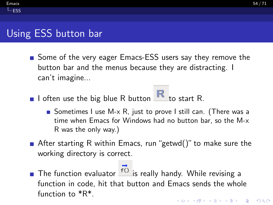# Using ESS button bar

<span id="page-53-0"></span> $L_{ESS}$  $L_{ESS}$  $L_{ESS}$ 

- Some of the very eager Emacs-ESS users say they remove the button bar and the menus because they are distracting. I can't imagine...
- I often use the big blue R button  $\mathbb R$  to start R.
	- Sometimes I use M- $\times$  R, just to prove I still can. (There was a time when Emacs for Windows had no button bar, so the M-x R was the only way.)
- **A** After starting R within Emacs, run "getwd()" to make sure the working directory is correct.
- The function evaluator  $\overrightarrow{f}$  is really handy. While revising a function in code, hit that button and Emacs sends the whole function to \*R\*.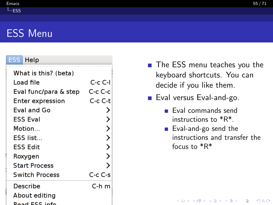#### <span id="page-54-0"></span> $\epsilon$  [Emacs](#page-0-0)  $55/71$

# ESS Menu

#### Help

| What is this? (beta)  |                                 |
|-----------------------|---------------------------------|
| Load file             | C c C I                         |
| Eval func/para & step | C-c C-c                         |
| Enter expression      | C-c C-t                         |
| Eval and Go           |                                 |
| ESS Eval              |                                 |
| Motion                | ⋗                               |
| ESS list…             | ⋋                               |
| ESS Edit              | ⋋                               |
| Roxygen               | ⋋                               |
| <b>Start Process</b>  |                                 |
| <b>Switch Process</b> | $C_{\mathsf{C}} C_{\mathsf{S}}$ |
| Describe              | C-h m                           |
| About editing         |                                 |
| Raad FSS info         |                                 |

- The ESS menu teaches you the keyboard shortcuts. You can decide if you like them.
- Eval versus Eval-and-go.
	- $\blacksquare$  Eval commands send instructions to \*R\*.
	- Eval-and-go send the instructions and transfer the focus to \*R\*

**KORKARA REPASA DA VOCA**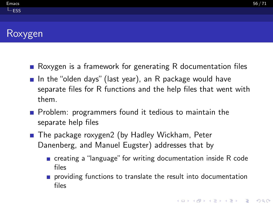# <span id="page-55-0"></span>Roxygen

- Roxygen is a framework for generating R documentation files
- In the "olden days" (last year), an R package would have separate files for R functions and the help files that went with them.
- $\blacksquare$  Problem: programmers found it tedious to maintain the separate help files
- The package roxygen2 (by Hadley Wickham, Peter Danenberg, and Manuel Eugster) addresses that by
	- creating a "language" for writing documentation inside R code files
	- **providing functions to translate the result into documentation** files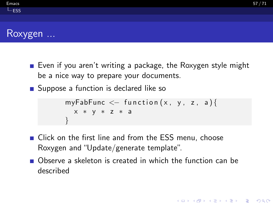**KORKARA REPASA DA VOCA** 

## <span id="page-56-0"></span>Roxygen ...

- Even if you aren't writing a package, the Roxygen style might be a nice way to prepare your documents.
- Suppose a function is declared like so

```
myFabFunc \leq function(x, y, z, a){
  x ∗ y ∗ z ∗ a
}
```
- **E** Click on the first line and from the ESS menu, choose Roxygen and "Update/generate template".
- Observe a skeleton is created in which the function can be described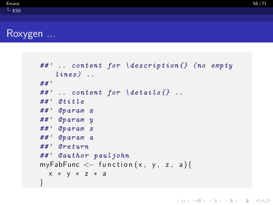#### <span id="page-57-0"></span>Roxygen ...

```
##' .. content for \description{} (no empty
   lines) ..
##'
##" .. content for \delta details {}..
##' @title
##' @param x
##' @param y
##' @param z
##' @param a
#H' Oreturn
##' @author pauljohn
myFabFunc \leq function (x, y, z, a) {
 x ∗ y ∗ z ∗ a
}
```
**KORK ERKER ADAM ADA**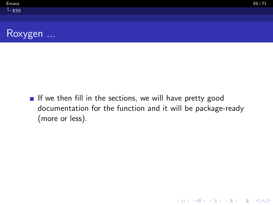K ロ ▶ K 個 ▶ K 할 ▶ K 할 ▶ 이 할 → 9 Q Q →

<span id="page-58-0"></span>

If we then fill in the sections, we will have pretty good documentation for the function and it will be package-ready (more or less).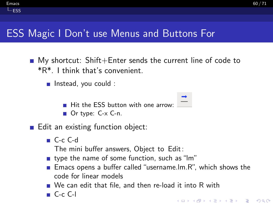# ESS Magic I Don't use Menus and Buttons For

- $\blacksquare$  My shortcut: Shift+Enter sends the current line of code to \*R\*. I think that's convenient.
	- **n** Instead, you could :
		- $\blacksquare$  Hit the ESS button with one arrow:
		- Or type: C-x C-n.
- Edit an existing function object:
	- C-c C-d

<span id="page-59-0"></span> $L_{ESS}$  $L_{ESS}$  $L_{ESS}$ 

- The mini buffer answers, Object to Edit:
- type the name of some function, such as "lm"
- **Emacs opens a buffer called "username.lm.R", which shows the** code for linear models
- We can edit that file, and then re-load it into R with
- $C-c$  C-l

**KORKARA REPASA DA VOCA**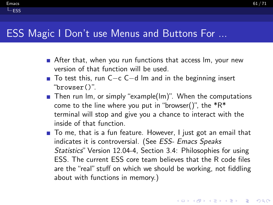#### ESS Magic I Don't use Menus and Buttons For ...

<span id="page-60-0"></span> $L_{ESS}$  $L_{ESS}$  $L_{ESS}$ 

- After that, when you run functions that access Im, your new version of that function will be used.
- To test this, run C−c C−d lm and in the beginning insert "browser()".
- $\blacksquare$  Then run Im, or simply "example(Im)". When the computations come to the line where you put in "browser()", the  $*R*$ terminal will stop and give you a chance to interact with the inside of that function.
- To me, that is a fun feature. However, I just got an email that indicates it is controversial. (See ESS- Emacs Speaks Statistics" Version 12.04-4, Section 3.4: Philosophies for using ESS. The current ESS core team believes that the R code files are the "real" stuff on which we should be working, not fiddling about with functions in memory.)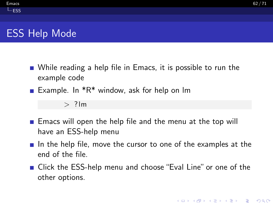# <span id="page-61-0"></span>ESS Help Mode

- While reading a help file in Emacs, it is possible to run the example code
- Example. In  $*R*$  window, ask for help on Im

 $>$ ? lm

- **E** Emacs will open the help file and the menu at the top will have an ESS-help menu
- In the help file, move the cursor to one of the examples at the end of the file.
- Click the ESS-help menu and choose "Eval Line" or one of the other options.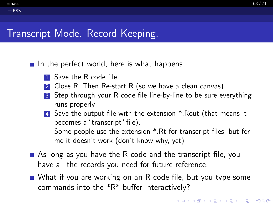# Transcript Mode. Record Keeping.

<span id="page-62-0"></span> $L_{ESS}$  $L_{ESS}$  $L_{ESS}$ 

In the perfect world, here is what happens.

- **1** Save the R code file.
- 2 Close R. Then Re-start R (so we have a clean canvas).
- 3 Step through your R code file line-by-line to be sure everything runs properly
- 4 Save the output file with the extension \*.Rout (that means it becomes a "transcript" file). Some people use the extension \*.Rt for transcript files, but for me it doesn't work (don't know why, yet)
- As long as you have the R code and the transcript file, you have all the records you need for future reference.
- What if you are working on an R code file, but you type some commands into the \*R\* buffer interactively?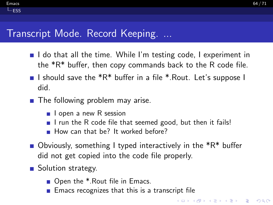## Transcript Mode. Record Keeping. ...

<span id="page-63-0"></span> $L_{ESS}$  $L_{ESS}$  $L_{ESS}$ 

- $\blacksquare$  I do that all the time. While I'm testing code, I experiment in the \*R\* buffer, then copy commands back to the R code file.
- I should save the  $*R*$  buffer in a file  $*$ . Rout. Let's suppose I did.
- The following problem may arise.
	- $\blacksquare$  I open a new R session
	- I run the R code file that seemed good, but then it fails!
	- How can that be? It worked before?
- Obviously, something I typed interactively in the  $*R*$  buffer did not get copied into the code file properly.
- Solution strategy.
	- Open the <sup>\*</sup>.Rout file in Emacs.
	- Emacs recognizes that this is a transcript file

**KORKA SERKER YOUR**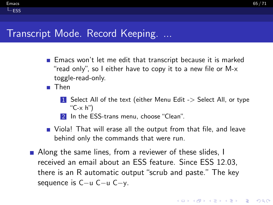### Transcript Mode. Record Keeping. ...

- **Emacs won't let me edit that transcript because it is marked** "read only", so I either have to copy it to a new file or M-x toggle-read-only.
- **Then**

<span id="page-64-0"></span> $L_{ESS}$  $L_{ESS}$  $L_{ESS}$ 

- 1 Select All of the text (either Menu Edit -> Select All, or type "C-x h")
- 2 In the ESS-trans menu, choose "Clean".
- **Noomark** That will erase all the output from that file, and leave behind only the commands that were run.
- Along the same lines, from a reviewer of these slides, I received an email about an ESS feature. Since ESS 12.03, there is an R automatic output "scrub and paste." The key sequence is C−u C−u C−y.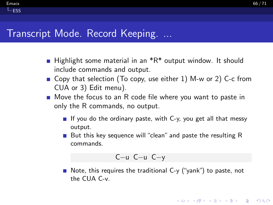### Transcript Mode. Record Keeping. ...

<span id="page-65-0"></span> $L_{ESS}$  $L_{ESS}$  $L_{ESS}$ 

- **Highlight some material in an**  $^*R^*$  **output window. It should** include commands and output.
- Gopy that selection (To copy, use either 1) M-w or 2) C-c from CUA or 3) Edit menu).
- Move the focus to an R code file where you want to paste in only the R commands, no output.
	- If you do the ordinary paste, with  $C-y$ , you get all that messy output.
	- But this key sequence will "clean" and paste the resulting  $R$ commands.

$$
C-u C-u C-y
$$

Note, this requires the traditional  $C-y$  ("yank") to paste, not the CUA C-v.

**KOD KAD KED KED DRA**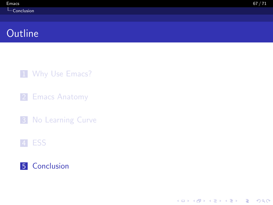# <span id="page-66-0"></span>**Outline**

1 [Why Use Emacs?](#page-2-0)

2 [Emacs Anatomy](#page-7-0)

**3** [No Learning Curve](#page-14-0)

#### 4 [ESS](#page-46-0)



K ロ ▶ K 個 ▶ K 할 ▶ K 할 ▶ 이 할 → 9 Q Q →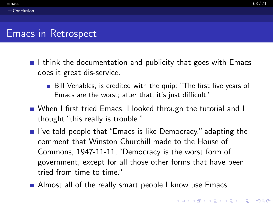## <span id="page-67-0"></span>Emacs in Retrospect

- I think the documentation and publicity that goes with Emacs does it great dis-service.
	- Bill Venables, is credited with the quip: "The first five years of Emacs are the worst; after that, it's just difficult."
- When I first tried Emacs, I looked through the tutorial and I thought "this really is trouble."
- $\blacksquare$  I've told people that "Emacs is like Democracy," adapting the comment that Winston Churchill made to the House of Commons, 1947-11-11, "Democracy is the worst form of government, except for all those other forms that have been tried from time to time."
- Almost all of the really smart people I know use Emacs.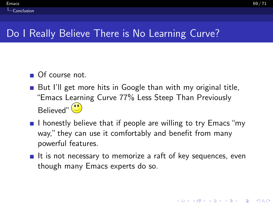# Do I Really Believe There is No Learning Curve?

■ Of course not.

<span id="page-68-0"></span> $\mathsf{\mathsf{L}}$  [Conclusion](#page-68-0)

- But I'll get more hits in Google than with my original title, "Emacs Learning Curve 77% Less Steep Than Previously  $B$ elieved" $\left(\bigcup_{n=1}^{\infty} \mathbb{I}\right)$
- I honestly believe that if people are willing to try Emacs "my way," they can use it comfortably and benefit from many powerful features.
- If is not necessary to memorize a raft of key sequences, even though many Emacs experts do so.

4 0 > 4 4 + 4 = + 4 = + = + + 0 4 0 +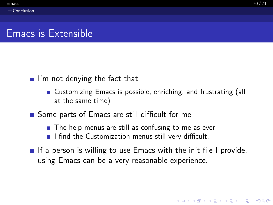**KORKAR KERKER SAGA** 

# <span id="page-69-0"></span>Emacs is Extensible

- $\blacksquare$  I'm not denying the fact that
	- Customizing Emacs is possible, enriching, and frustrating (all at the same time)
- Some parts of Emacs are still difficult for me
	- $\blacksquare$  The help menus are still as confusing to me as ever.
	- I find the Customization menus still very difficult.
- If a person is willing to use Emacs with the init file I provide, using Emacs can be a very reasonable experience.